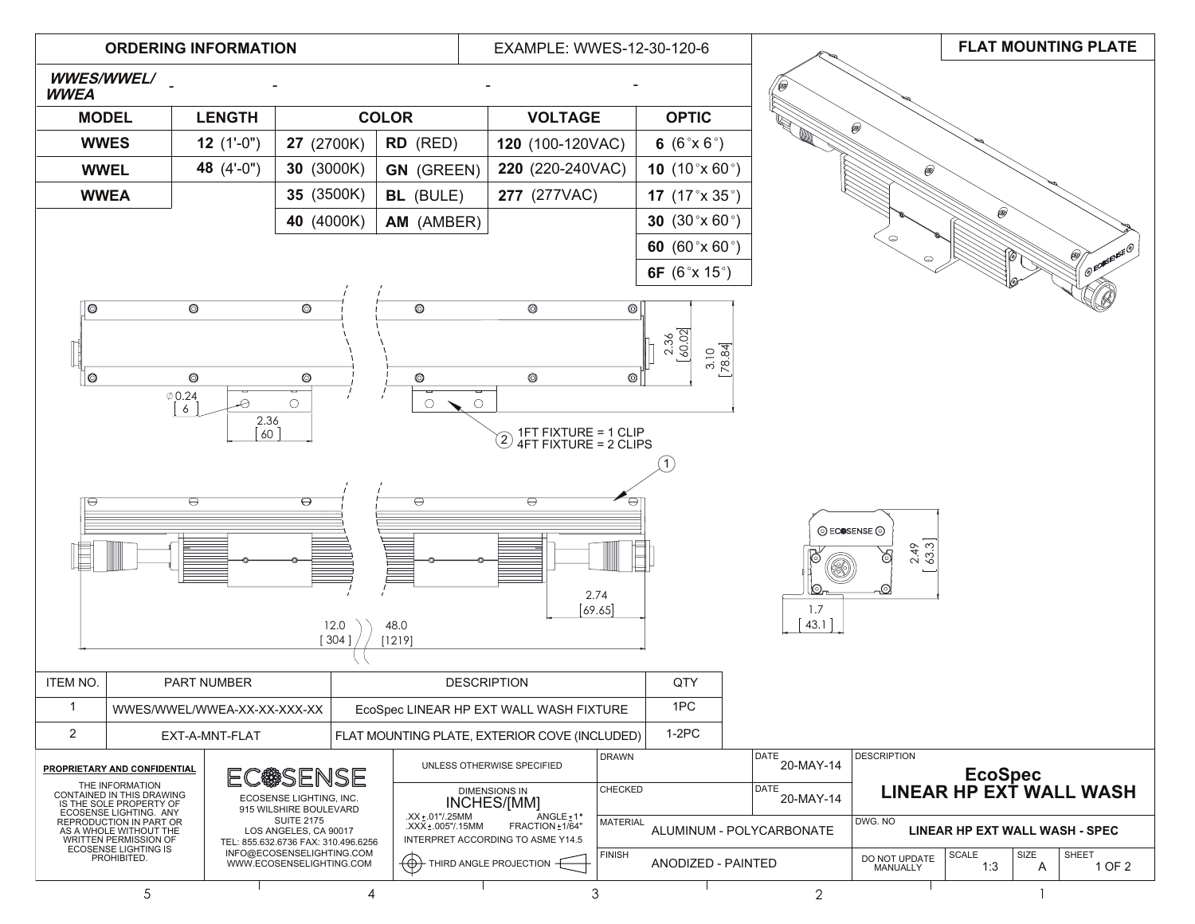